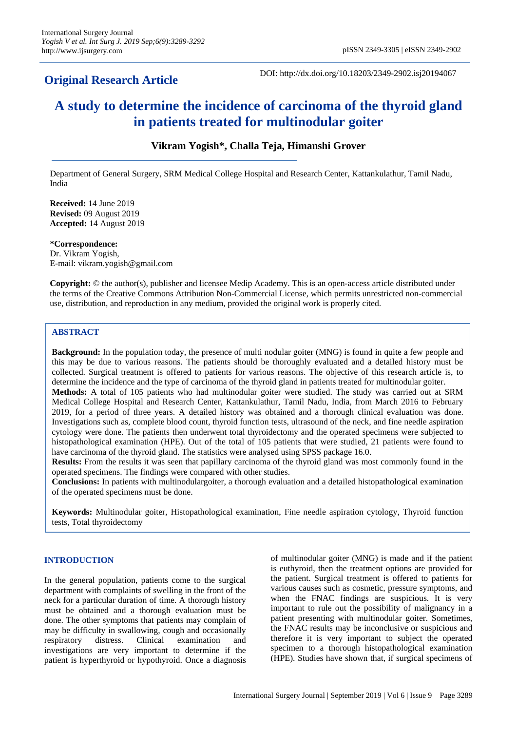# **Original Research Article**

DOI: http://dx.doi.org/10.18203/2349-2902.isj20194067

# **A study to determine the incidence of carcinoma of the thyroid gland in patients treated for multinodular goiter**

# **Vikram Yogish\*, Challa Teja, Himanshi Grover**

Department of General Surgery, SRM Medical College Hospital and Research Center, Kattankulathur, Tamil Nadu, India

**Received:** 14 June 2019 **Revised:** 09 August 2019 **Accepted:** 14 August 2019

**\*Correspondence:** Dr. Vikram Yogish, E-mail: vikram.yogish@gmail.com

**Copyright:** © the author(s), publisher and licensee Medip Academy. This is an open-access article distributed under the terms of the Creative Commons Attribution Non-Commercial License, which permits unrestricted non-commercial use, distribution, and reproduction in any medium, provided the original work is properly cited.

# **ABSTRACT**

**Background:** In the population today, the presence of multi nodular goiter (MNG) is found in quite a few people and this may be due to various reasons. The patients should be thoroughly evaluated and a detailed history must be collected. Surgical treatment is offered to patients for various reasons. The objective of this research article is, to determine the incidence and the type of carcinoma of the thyroid gland in patients treated for multinodular goiter. **Methods:** A total of 105 patients who had multinodular goiter were studied. The study was carried out at SRM Medical College Hospital and Research Center, Kattankulathur, Tamil Nadu, India, from March 2016 to February 2019, for a period of three years. A detailed history was obtained and a thorough clinical evaluation was done. Investigations such as, complete blood count, thyroid function tests, ultrasound of the neck, and fine needle aspiration cytology were done. The patients then underwent total thyroidectomy and the operated specimens were subjected to histopathological examination (HPE). Out of the total of 105 patients that were studied, 21 patients were found to have carcinoma of the thyroid gland. The statistics were analysed using SPSS package 16.0.

**Results:** From the results it was seen that papillary carcinoma of the thyroid gland was most commonly found in the operated specimens. The findings were compared with other studies.

**Conclusions:** In patients with multinodulargoiter, a thorough evaluation and a detailed histopathological examination of the operated specimens must be done.

**Keywords:** Multinodular goiter, Histopathological examination, Fine needle aspiration cytology, Thyroid function tests, Total thyroidectomy

# **INTRODUCTION**

In the general population, patients come to the surgical department with complaints of swelling in the front of the neck for a particular duration of time. A thorough history must be obtained and a thorough evaluation must be done. The other symptoms that patients may complain of may be difficulty in swallowing, cough and occasionally respiratory distress. Clinical examination and investigations are very important to determine if the patient is hyperthyroid or hypothyroid. Once a diagnosis

of multinodular goiter (MNG) is made and if the patient is euthyroid, then the treatment options are provided for the patient. Surgical treatment is offered to patients for various causes such as cosmetic, pressure symptoms, and when the FNAC findings are suspicious. It is very important to rule out the possibility of malignancy in a patient presenting with multinodular goiter. Sometimes, the FNAC results may be inconclusive or suspicious and therefore it is very important to subject the operated specimen to a thorough histopathological examination (HPE). Studies have shown that, if surgical specimens of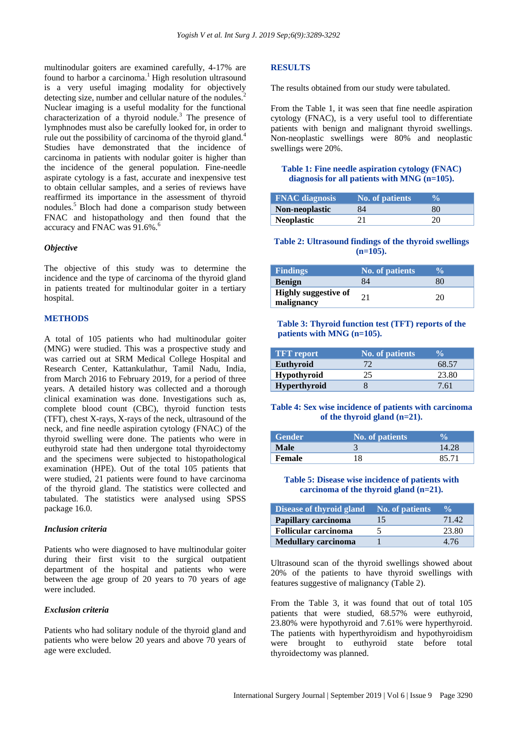multinodular goiters are examined carefully, 4-17% are found to harbor a carcinoma.<sup>1</sup> High resolution ultrasound is a very useful imaging modality for objectively detecting size, number and cellular nature of the nodules.<sup>2</sup> Nuclear imaging is a useful modality for the functional characterization of a thyroid nodule.<sup>3</sup> The presence of lymphnodes must also be carefully looked for, in order to rule out the possibility of carcinoma of the thyroid gland.<sup>4</sup> Studies have demonstrated that the incidence of carcinoma in patients with nodular goiter is higher than the incidence of the general population. Fine-needle aspirate cytology is a fast, accurate and inexpensive test to obtain cellular samples, and a series of reviews have reaffirmed its importance in the assessment of thyroid nodules.<sup>5</sup> Bloch had done a comparison study between FNAC and histopathology and then found that the accuracy and FNAC was 91.6%.<sup>6</sup>

#### *Objective*

The objective of this study was to determine the incidence and the type of carcinoma of the thyroid gland in patients treated for multinodular goiter in a tertiary hospital.

#### **METHODS**

A total of 105 patients who had multinodular goiter (MNG) were studied. This was a prospective study and was carried out at SRM Medical College Hospital and Research Center, Kattankulathur, Tamil Nadu, India, from March 2016 to February 2019, for a period of three years. A detailed history was collected and a thorough clinical examination was done. Investigations such as, complete blood count (CBC), thyroid function tests (TFT), chest X-rays, X-rays of the neck, ultrasound of the neck, and fine needle aspiration cytology (FNAC) of the thyroid swelling were done. The patients who were in euthyroid state had then undergone total thyroidectomy and the specimens were subjected to histopathological examination (HPE). Out of the total 105 patients that were studied, 21 patients were found to have carcinoma of the thyroid gland. The statistics were collected and tabulated. The statistics were analysed using SPSS package 16.0.

#### *Inclusion criteria*

Patients who were diagnosed to have multinodular goiter during their first visit to the surgical outpatient department of the hospital and patients who were between the age group of 20 years to 70 years of age were included.

#### *Exclusion criteria*

Patients who had solitary nodule of the thyroid gland and patients who were below 20 years and above 70 years of age were excluded.

#### **RESULTS**

The results obtained from our study were tabulated.

From the Table 1, it was seen that fine needle aspiration cytology (FNAC), is a very useful tool to differentiate patients with benign and malignant thyroid swellings. Non-neoplastic swellings were 80% and neoplastic swellings were 20%.

#### **Table 1: Fine needle aspiration cytology (FNAC) diagnosis for all patients with MNG (n=105).**

| <b>FNAC</b> diagnosis | No. of patients |    |
|-----------------------|-----------------|----|
| Non-neoplastic        | 84              | 80 |
| <b>Neoplastic</b>     |                 | 20 |

#### **Table 2: Ultrasound findings of the thyroid swellings (n=105).**

| <b>Findings</b>                           | <b>No. of patients</b> |    |
|-------------------------------------------|------------------------|----|
| <b>Benign</b>                             |                        | 8C |
| <b>Highly suggestive of</b><br>malignancy | 21                     |    |

#### **Table 3: Thyroid function test (TFT) reports of the patients with MNG (n=105).**

| <b>TFT</b> report   | <b>No. of patients</b> | $\frac{0}{0}$ |
|---------------------|------------------------|---------------|
| Euthyroid           |                        | 68.57         |
| Hypothyroid         | 25                     | 23.80         |
| <b>Hyperthyroid</b> |                        | 7.61          |

#### **Table 4: Sex wise incidence of patients with carcinoma of the thyroid gland (n=21).**

| Gender      | <b>No. of patients</b> |       |
|-------------|------------------------|-------|
| <b>Male</b> |                        | 14.28 |
| Female      | 18                     | 85.71 |

#### **Table 5: Disease wise incidence of patients with carcinoma of the thyroid gland (n=21).**

| <b>Disease of thyroid gland</b> | No. of patients | $\frac{0}{0}$ |
|---------------------------------|-----------------|---------------|
| Papillary carcinoma             | 15              | 71.42         |
| <b>Follicular carcinoma</b>     |                 | 23.80         |
| <b>Medullary carcinoma</b>      |                 | 4 76          |

Ultrasound scan of the thyroid swellings showed about 20% of the patients to have thyroid swellings with features suggestive of malignancy (Table 2).

From the Table 3, it was found that out of total 105 patients that were studied, 68.57% were euthyroid, 23.80% were hypothyroid and 7.61% were hyperthyroid. The patients with hyperthyroidism and hypothyroidism were brought to euthyroid state before total thyroidectomy was planned.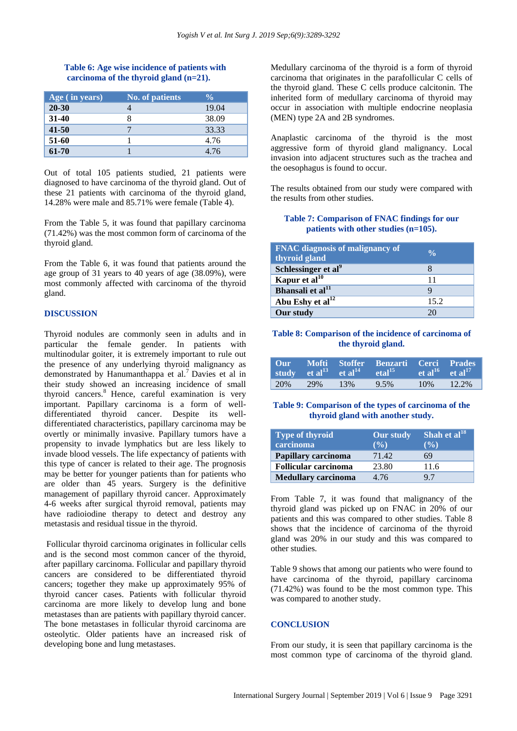# **Table 6: Age wise incidence of patients with carcinoma of the thyroid gland (n=21).**

| Age (in years) | <b>No. of patients</b> | $\frac{0}{\alpha}$ |
|----------------|------------------------|--------------------|
| $20 - 30$      |                        | 19.04              |
| $31-40$        |                        | 38.09              |
| $41 - 50$      |                        | 33.33              |
| 51-60          |                        | 4.76               |
| 61-70          |                        | 4.76               |

Out of total 105 patients studied, 21 patients were diagnosed to have carcinoma of the thyroid gland. Out of these 21 patients with carcinoma of the thyroid gland, 14.28% were male and 85.71% were female (Table 4).

From the Table 5, it was found that papillary carcinoma (71.42%) was the most common form of carcinoma of the thyroid gland.

From the Table 6, it was found that patients around the age group of 31 years to 40 years of age (38.09%), were most commonly affected with carcinoma of the thyroid gland.

#### **DISCUSSION**

Thyroid nodules are commonly seen in adults and in particular the female gender. In patients with multinodular goiter, it is extremely important to rule out the presence of any underlying thyroid malignancy as demonstrated by Hanumanthappa et al.<sup>7</sup> Davies et al in their study showed an increasing incidence of small thyroid cancers. $8$  Hence, careful examination is very important. Papillary carcinoma is a form of welldifferentiated thyroid cancer. Despite its welldifferentiated characteristics, papillary carcinoma may be overtly or minimally invasive. Papillary tumors have a propensity to invade lymphatics but are less likely to invade blood vessels. The life expectancy of patients with this type of cancer is related to their age. The prognosis may be better for younger patients than for patients who are older than 45 years. Surgery is the definitive management of papillary thyroid cancer. Approximately 4-6 weeks after surgical thyroid removal, patients may have radioiodine therapy to detect and destroy any metastasis and residual tissue in the thyroid.

Follicular thyroid carcinoma originates in follicular cells and is the second most common cancer of the thyroid, after papillary carcinoma. Follicular and papillary thyroid cancers are considered to be differentiated thyroid cancers; together they make up approximately 95% of thyroid cancer cases. Patients with follicular thyroid carcinoma are more likely to develop lung and bone metastases than are patients with papillary thyroid cancer. The bone metastases in follicular thyroid carcinoma are osteolytic. Older patients have an increased risk of developing bone and lung metastases.

Medullary carcinoma of the thyroid is a form of thyroid carcinoma that originates in the parafollicular C cells of the thyroid gland. These C cells produce calcitonin. The inherited form of medullary carcinoma of thyroid may occur in association with multiple endocrine neoplasia (MEN) type 2A and 2B syndromes.

Anaplastic carcinoma of the thyroid is the most aggressive form of thyroid gland malignancy. Local invasion into adjacent structures such as the trachea and the oesophagus is found to occur.

The results obtained from our study were compared with the results from other studies.

# **Table 7: Comparison of FNAC findings for our patients with other studies (n=105).**

| <b>FNAC</b> diagnosis of malignancy of<br>thyroid gland | $\frac{0}{\alpha}$ |
|---------------------------------------------------------|--------------------|
| Schlessinger et al <sup>9</sup>                         |                    |
| Kapur et al $^{10}$                                     | 11                 |
| Bhansali et al <sup>11</sup>                            |                    |
| Abu Eshy et al <sup>12</sup>                            | 15.2               |
| Our study                                               |                    |

#### **Table 8: Comparison of the incidence of carcinoma of the thyroid gland.**

|     |       | study et al <sup>13</sup> et al <sup>14</sup> | Our Mofti Stoffer Benzarti Cerci Prades<br>eta <sup>15</sup> | $\epsilon$ et al $^{16}$ et al $^{17}$ |          |
|-----|-------|-----------------------------------------------|--------------------------------------------------------------|----------------------------------------|----------|
| 20% | - 29% | 13%                                           | 9.5%                                                         | 10%                                    | $12.2\%$ |

# **Table 9: Comparison of the types of carcinoma of the thyroid gland with another study.**

| <b>Type of thyroid</b>      | <b>Our study</b> | Shah et al $^{18}$ |
|-----------------------------|------------------|--------------------|
| carcinoma                   | $($ %)           | $($ %)             |
| Papillary carcinoma         | 71.42            | 69                 |
| <b>Follicular carcinoma</b> | 23.80            | 11.6               |
| <b>Medullary carcinoma</b>  | 4.76             | 97                 |

From Table 7, it was found that malignancy of the thyroid gland was picked up on FNAC in 20% of our patients and this was compared to other studies. Table 8 shows that the incidence of carcinoma of the thyroid gland was 20% in our study and this was compared to other studies.

Table 9 shows that among our patients who were found to have carcinoma of the thyroid, papillary carcinoma (71.42%) was found to be the most common type. This was compared to another study.

#### **CONCLUSION**

From our study, it is seen that papillary carcinoma is the most common type of carcinoma of the thyroid gland.